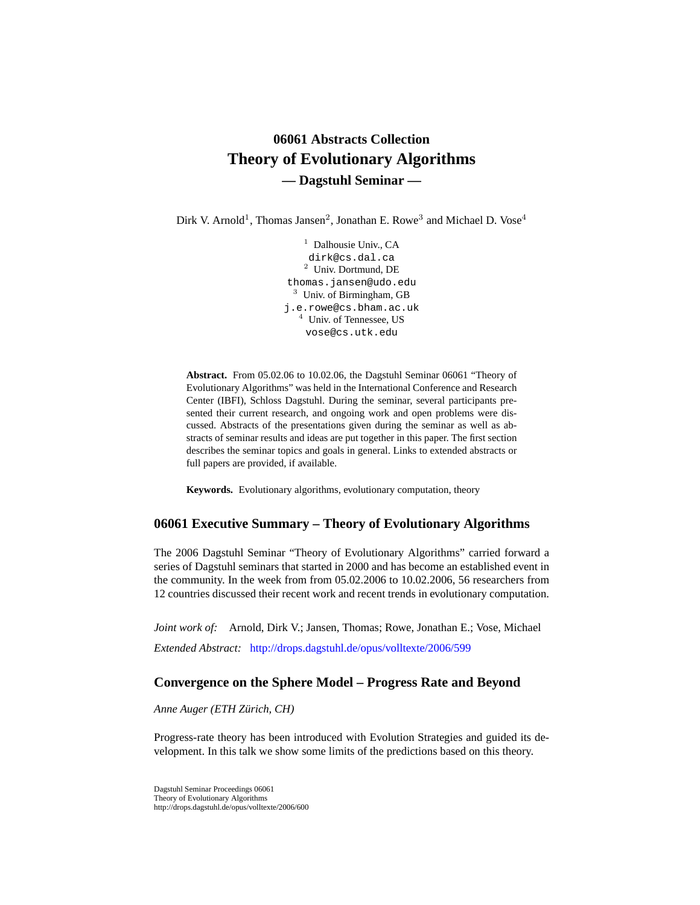# **06061 Abstracts Collection Theory of Evolutionary Algorithms — Dagstuhl Seminar —**

Dirk V. Arnold<sup>1</sup>, Thomas Jansen<sup>2</sup>, Jonathan E. Rowe<sup>3</sup> and Michael D. Vose<sup>4</sup>

<sup>1</sup> Dalhousie Univ., CA dirk@cs.dal.ca <sup>2</sup> Univ. Dortmund, DE thomas.jansen@udo.edu <sup>3</sup> Univ. of Birmingham, GB j.e.rowe@cs.bham.ac.uk <sup>4</sup> Univ. of Tennessee, US vose@cs.utk.edu

**Abstract.** From 05.02.06 to 10.02.06, the Dagstuhl Seminar 06061 "Theory of Evolutionary Algorithms" was held in the International Conference and Research Center (IBFI), Schloss Dagstuhl. During the seminar, several participants presented their current research, and ongoing work and open problems were discussed. Abstracts of the presentations given during the seminar as well as abstracts of seminar results and ideas are put together in this paper. The first section describes the seminar topics and goals in general. Links to extended abstracts or full papers are provided, if available.

**Keywords.** Evolutionary algorithms, evolutionary computation, theory

### **06061 Executive Summary – Theory of Evolutionary Algorithms**

The 2006 Dagstuhl Seminar "Theory of Evolutionary Algorithms" carried forward a series of Dagstuhl seminars that started in 2000 and has become an established event in the community. In the week from from 05.02.2006 to 10.02.2006, 56 researchers from 12 countries discussed their recent work and recent trends in evolutionary computation.

*Joint work of:* Arnold, Dirk V.; Jansen, Thomas; Rowe, Jonathan E.; Vose, Michael *Extended Abstract:* <http://drops.dagstuhl.de/opus/volltexte/2006/599>

### **Convergence on the Sphere Model – Progress Rate and Beyond**

*Anne Auger (ETH Zürich, CH)*

Progress-rate theory has been introduced with Evolution Strategies and guided its development. In this talk we show some limits of the predictions based on this theory.

Dagstuhl Seminar Proceedings 06061 Theory of Evolutionary Algorithms http://drops.dagstuhl.de/opus/volltexte/2006/600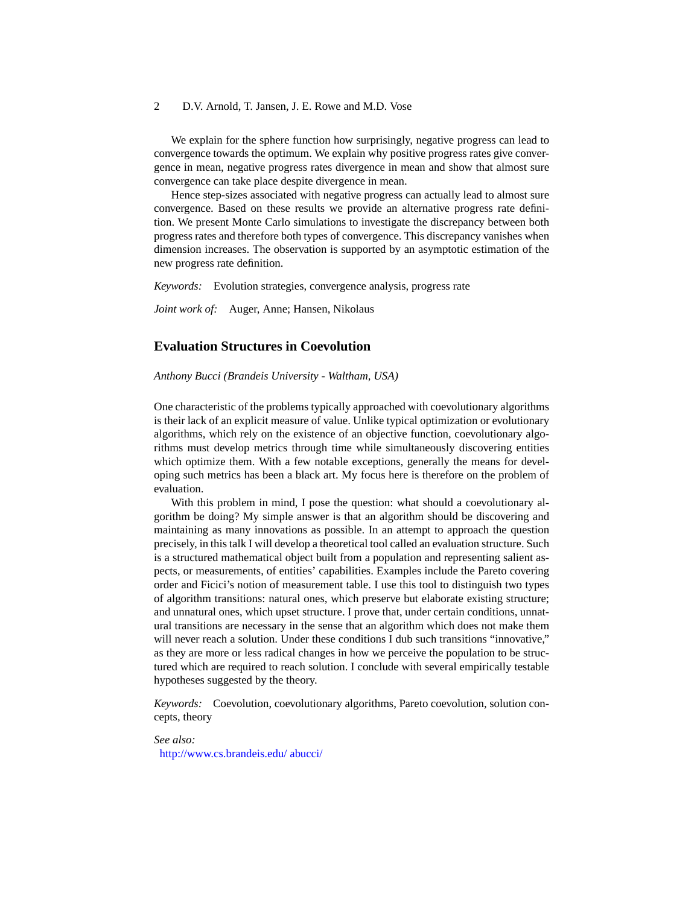We explain for the sphere function how surprisingly, negative progress can lead to convergence towards the optimum. We explain why positive progress rates give convergence in mean, negative progress rates divergence in mean and show that almost sure convergence can take place despite divergence in mean.

Hence step-sizes associated with negative progress can actually lead to almost sure convergence. Based on these results we provide an alternative progress rate definition. We present Monte Carlo simulations to investigate the discrepancy between both progress rates and therefore both types of convergence. This discrepancy vanishes when dimension increases. The observation is supported by an asymptotic estimation of the new progress rate definition.

*Keywords:* Evolution strategies, convergence analysis, progress rate

*Joint work of:* Auger, Anne; Hansen, Nikolaus

## **Evaluation Structures in Coevolution**

*Anthony Bucci (Brandeis University - Waltham, USA)*

One characteristic of the problems typically approached with coevolutionary algorithms is their lack of an explicit measure of value. Unlike typical optimization or evolutionary algorithms, which rely on the existence of an objective function, coevolutionary algorithms must develop metrics through time while simultaneously discovering entities which optimize them. With a few notable exceptions, generally the means for developing such metrics has been a black art. My focus here is therefore on the problem of evaluation.

With this problem in mind, I pose the question: what should a coevolutionary algorithm be doing? My simple answer is that an algorithm should be discovering and maintaining as many innovations as possible. In an attempt to approach the question precisely, in this talk I will develop a theoretical tool called an evaluation structure. Such is a structured mathematical object built from a population and representing salient aspects, or measurements, of entities' capabilities. Examples include the Pareto covering order and Ficici's notion of measurement table. I use this tool to distinguish two types of algorithm transitions: natural ones, which preserve but elaborate existing structure; and unnatural ones, which upset structure. I prove that, under certain conditions, unnatural transitions are necessary in the sense that an algorithm which does not make them will never reach a solution. Under these conditions I dub such transitions "innovative," as they are more or less radical changes in how we perceive the population to be structured which are required to reach solution. I conclude with several empirically testable hypotheses suggested by the theory.

*Keywords:* Coevolution, coevolutionary algorithms, Pareto coevolution, solution concepts, theory

*See also:* [http://www.cs.brandeis.edu/ abucci/](http://www.cs.brandeis.edu/~abucci/)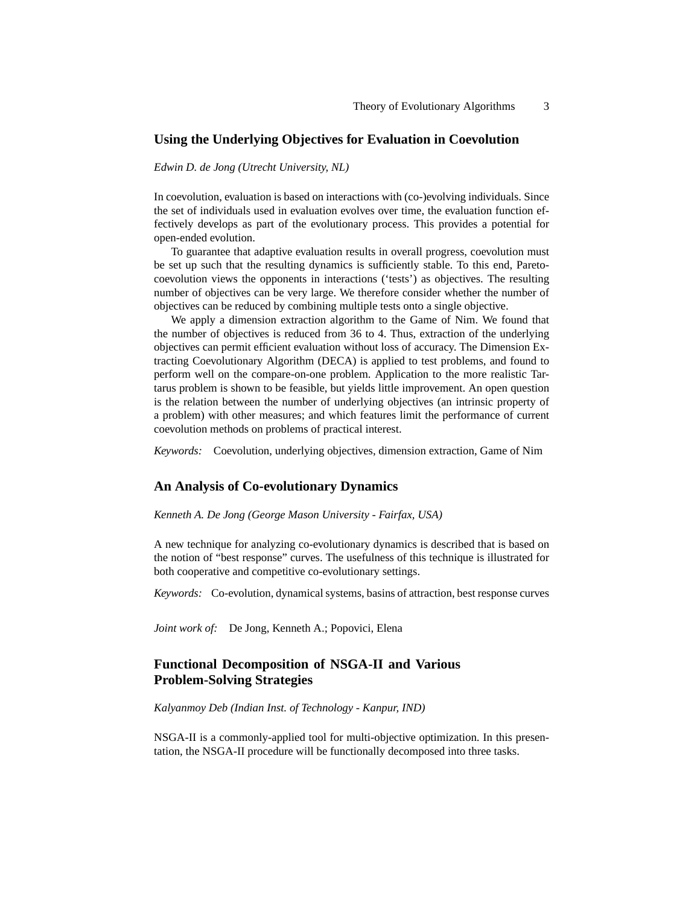### **Using the Underlying Objectives for Evaluation in Coevolution**

*Edwin D. de Jong (Utrecht University, NL)*

In coevolution, evaluation is based on interactions with (co-)evolving individuals. Since the set of individuals used in evaluation evolves over time, the evaluation function effectively develops as part of the evolutionary process. This provides a potential for open-ended evolution.

To guarantee that adaptive evaluation results in overall progress, coevolution must be set up such that the resulting dynamics is sufficiently stable. To this end, Paretocoevolution views the opponents in interactions ('tests') as objectives. The resulting number of objectives can be very large. We therefore consider whether the number of objectives can be reduced by combining multiple tests onto a single objective.

We apply a dimension extraction algorithm to the Game of Nim. We found that the number of objectives is reduced from 36 to 4. Thus, extraction of the underlying objectives can permit efficient evaluation without loss of accuracy. The Dimension Extracting Coevolutionary Algorithm (DECA) is applied to test problems, and found to perform well on the compare-on-one problem. Application to the more realistic Tartarus problem is shown to be feasible, but yields little improvement. An open question is the relation between the number of underlying objectives (an intrinsic property of a problem) with other measures; and which features limit the performance of current coevolution methods on problems of practical interest.

*Keywords:* Coevolution, underlying objectives, dimension extraction, Game of Nim

### **An Analysis of Co-evolutionary Dynamics**

*Kenneth A. De Jong (George Mason University - Fairfax, USA)*

A new technique for analyzing co-evolutionary dynamics is described that is based on the notion of "best response" curves. The usefulness of this technique is illustrated for both cooperative and competitive co-evolutionary settings.

*Keywords:* Co-evolution, dynamical systems, basins of attraction, best response curves

*Joint work of:* De Jong, Kenneth A.; Popovici, Elena

## **Functional Decomposition of NSGA-II and Various Problem-Solving Strategies**

*Kalyanmoy Deb (Indian Inst. of Technology - Kanpur, IND)*

NSGA-II is a commonly-applied tool for multi-objective optimization. In this presentation, the NSGA-II procedure will be functionally decomposed into three tasks.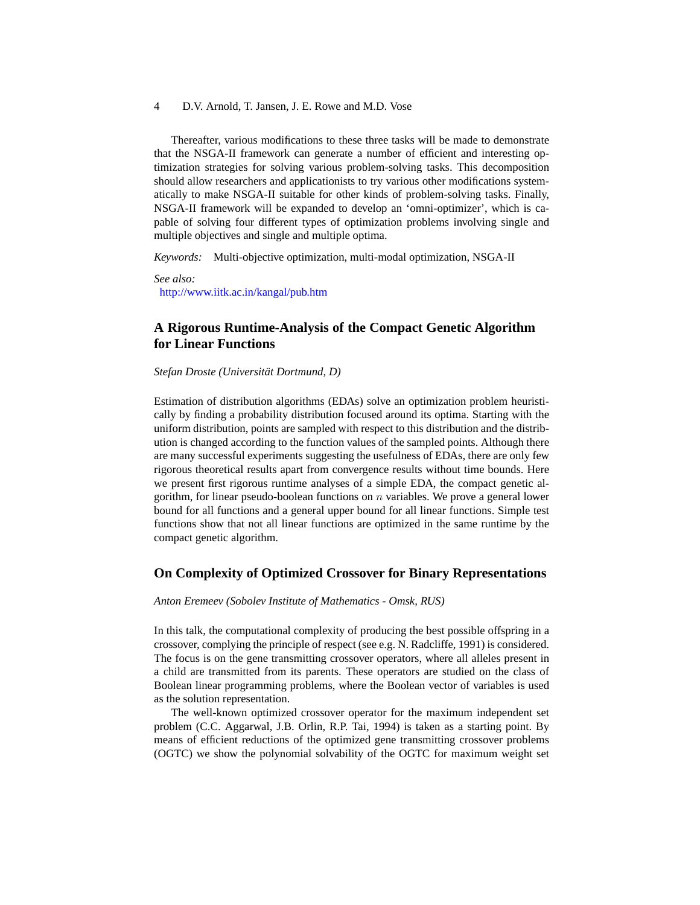Thereafter, various modifications to these three tasks will be made to demonstrate that the NSGA-II framework can generate a number of efficient and interesting optimization strategies for solving various problem-solving tasks. This decomposition should allow researchers and applicationists to try various other modifications systematically to make NSGA-II suitable for other kinds of problem-solving tasks. Finally, NSGA-II framework will be expanded to develop an 'omni-optimizer', which is capable of solving four different types of optimization problems involving single and multiple objectives and single and multiple optima.

*Keywords:* Multi-objective optimization, multi-modal optimization, NSGA-II

*See also:* <http://www.iitk.ac.in/kangal/pub.htm>

## **A Rigorous Runtime-Analysis of the Compact Genetic Algorithm for Linear Functions**

*Stefan Droste (Universität Dortmund, D)*

Estimation of distribution algorithms (EDAs) solve an optimization problem heuristically by finding a probability distribution focused around its optima. Starting with the uniform distribution, points are sampled with respect to this distribution and the distribution is changed according to the function values of the sampled points. Although there are many successful experiments suggesting the usefulness of EDAs, there are only few rigorous theoretical results apart from convergence results without time bounds. Here we present first rigorous runtime analyses of a simple EDA, the compact genetic algorithm, for linear pseudo-boolean functions on  $n$  variables. We prove a general lower bound for all functions and a general upper bound for all linear functions. Simple test functions show that not all linear functions are optimized in the same runtime by the compact genetic algorithm.

#### **On Complexity of Optimized Crossover for Binary Representations**

#### *Anton Eremeev (Sobolev Institute of Mathematics - Omsk, RUS)*

In this talk, the computational complexity of producing the best possible offspring in a crossover, complying the principle of respect (see e.g. N. Radcliffe, 1991) is considered. The focus is on the gene transmitting crossover operators, where all alleles present in a child are transmitted from its parents. These operators are studied on the class of Boolean linear programming problems, where the Boolean vector of variables is used as the solution representation.

The well-known optimized crossover operator for the maximum independent set problem (C.C. Aggarwal, J.B. Orlin, R.P. Tai, 1994) is taken as a starting point. By means of efficient reductions of the optimized gene transmitting crossover problems (OGTC) we show the polynomial solvability of the OGTC for maximum weight set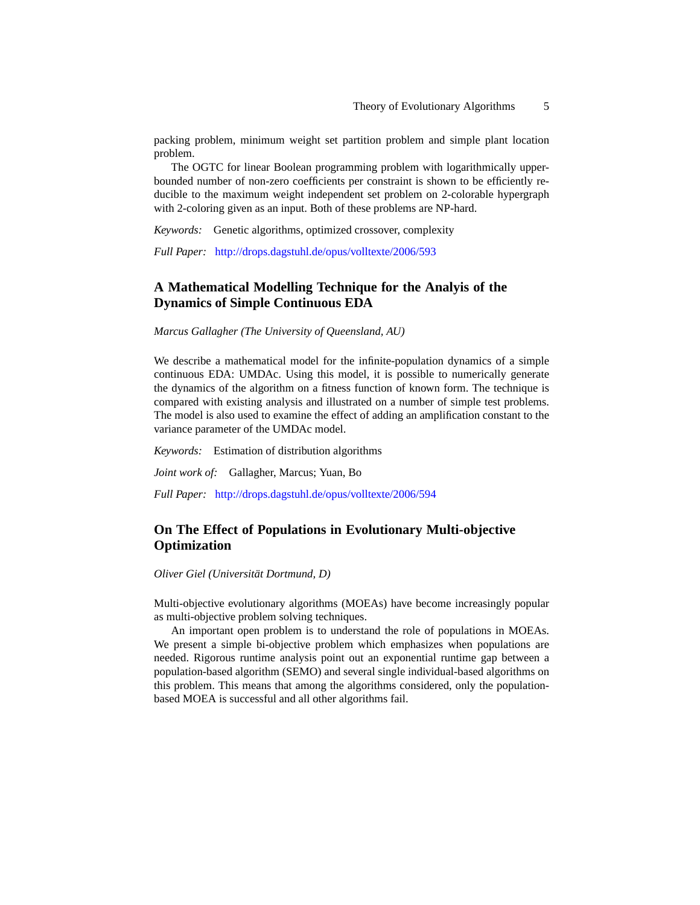packing problem, minimum weight set partition problem and simple plant location problem.

The OGTC for linear Boolean programming problem with logarithmically upperbounded number of non-zero coefficients per constraint is shown to be efficiently reducible to the maximum weight independent set problem on 2-colorable hypergraph with 2-coloring given as an input. Both of these problems are NP-hard.

*Keywords:* Genetic algorithms, optimized crossover, complexity

*Full Paper:* <http://drops.dagstuhl.de/opus/volltexte/2006/593>

## **A Mathematical Modelling Technique for the Analyis of the Dynamics of Simple Continuous EDA**

*Marcus Gallagher (The University of Queensland, AU)*

We describe a mathematical model for the infinite-population dynamics of a simple continuous EDA: UMDAc. Using this model, it is possible to numerically generate the dynamics of the algorithm on a fitness function of known form. The technique is compared with existing analysis and illustrated on a number of simple test problems. The model is also used to examine the effect of adding an amplification constant to the variance parameter of the UMDAc model.

*Keywords:* Estimation of distribution algorithms

*Joint work of:* Gallagher, Marcus; Yuan, Bo

*Full Paper:* <http://drops.dagstuhl.de/opus/volltexte/2006/594>

## **On The Effect of Populations in Evolutionary Multi-objective Optimization**

*Oliver Giel (Universität Dortmund, D)*

Multi-objective evolutionary algorithms (MOEAs) have become increasingly popular as multi-objective problem solving techniques.

An important open problem is to understand the role of populations in MOEAs. We present a simple bi-objective problem which emphasizes when populations are needed. Rigorous runtime analysis point out an exponential runtime gap between a population-based algorithm (SEMO) and several single individual-based algorithms on this problem. This means that among the algorithms considered, only the populationbased MOEA is successful and all other algorithms fail.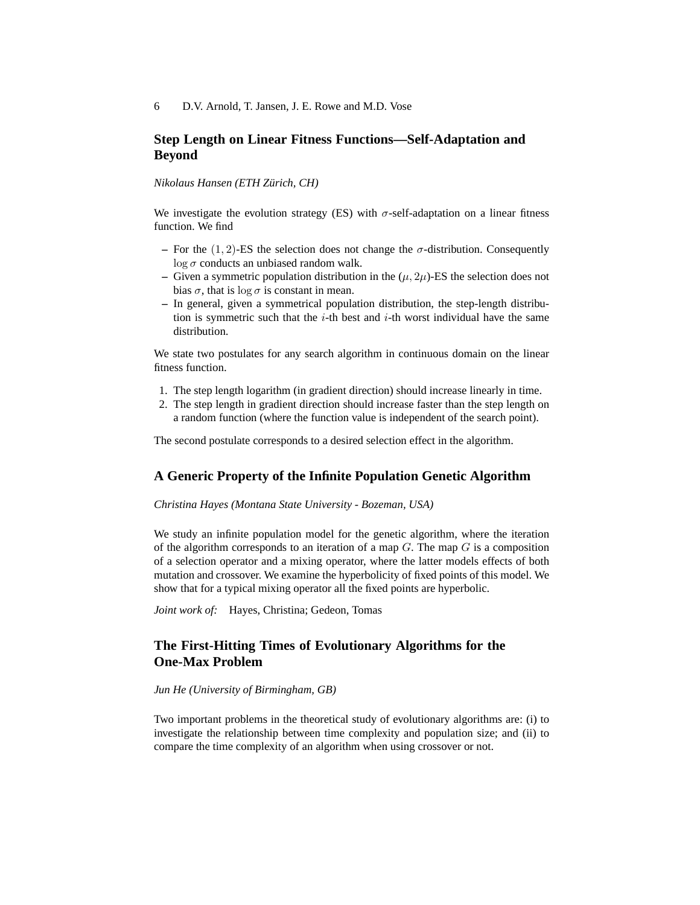## **Step Length on Linear Fitness Functions—Self-Adaptation and Beyond**

### *Nikolaus Hansen (ETH Zürich, CH)*

We investigate the evolution strategy (ES) with  $\sigma$ -self-adaptation on a linear fitness function. We find

- For the  $(1, 2)$ -ES the selection does not change the  $\sigma$ -distribution. Consequently  $\log \sigma$  conducts an unbiased random walk.
- Given a symmetric population distribution in the  $(\mu, 2\mu)$ -ES the selection does not bias  $\sigma$ , that is log  $\sigma$  is constant in mean.
- **–** In general, given a symmetrical population distribution, the step-length distribution is symmetric such that the  $i$ -th best and  $i$ -th worst individual have the same distribution.

We state two postulates for any search algorithm in continuous domain on the linear fitness function.

- 1. The step length logarithm (in gradient direction) should increase linearly in time.
- 2. The step length in gradient direction should increase faster than the step length on a random function (where the function value is independent of the search point).

The second postulate corresponds to a desired selection effect in the algorithm.

### **A Generic Property of the Infinite Population Genetic Algorithm**

### *Christina Hayes (Montana State University - Bozeman, USA)*

We study an infinite population model for the genetic algorithm, where the iteration of the algorithm corresponds to an iteration of a map  $G$ . The map  $G$  is a composition of a selection operator and a mixing operator, where the latter models effects of both mutation and crossover. We examine the hyperbolicity of fixed points of this model. We show that for a typical mixing operator all the fixed points are hyperbolic.

*Joint work of:* Hayes, Christina; Gedeon, Tomas

## **The First-Hitting Times of Evolutionary Algorithms for the One-Max Problem**

#### *Jun He (University of Birmingham, GB)*

Two important problems in the theoretical study of evolutionary algorithms are: (i) to investigate the relationship between time complexity and population size; and (ii) to compare the time complexity of an algorithm when using crossover or not.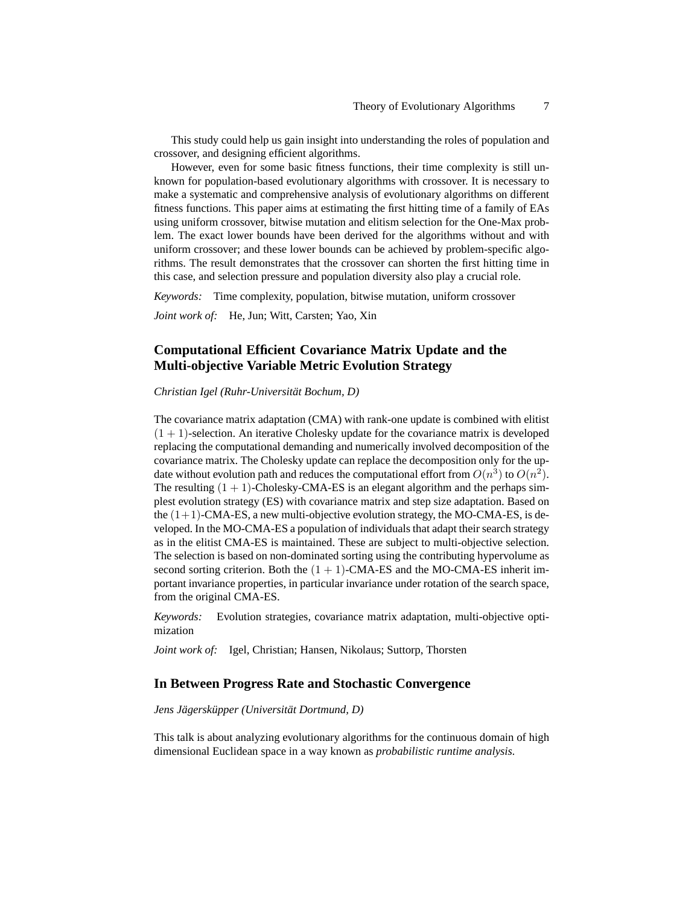This study could help us gain insight into understanding the roles of population and crossover, and designing efficient algorithms.

However, even for some basic fitness functions, their time complexity is still unknown for population-based evolutionary algorithms with crossover. It is necessary to make a systematic and comprehensive analysis of evolutionary algorithms on different fitness functions. This paper aims at estimating the first hitting time of a family of EAs using uniform crossover, bitwise mutation and elitism selection for the One-Max problem. The exact lower bounds have been derived for the algorithms without and with uniform crossover; and these lower bounds can be achieved by problem-specific algorithms. The result demonstrates that the crossover can shorten the first hitting time in this case, and selection pressure and population diversity also play a crucial role.

*Keywords:* Time complexity, population, bitwise mutation, uniform crossover

*Joint work of:* He, Jun; Witt, Carsten; Yao, Xin

## **Computational Efficient Covariance Matrix Update and the Multi-objective Variable Metric Evolution Strategy**

*Christian Igel (Ruhr-Universität Bochum, D)*

The covariance matrix adaptation (CMA) with rank-one update is combined with elitist  $(1 + 1)$ -selection. An iterative Cholesky update for the covariance matrix is developed replacing the computational demanding and numerically involved decomposition of the covariance matrix. The Cholesky update can replace the decomposition only for the update without evolution path and reduces the computational effort from  $O(n^3)$  to  $O(n^2)$ . The resulting  $(1 + 1)$ -Cholesky-CMA-ES is an elegant algorithm and the perhaps simplest evolution strategy (ES) with covariance matrix and step size adaptation. Based on the  $(1+1)$ -CMA-ES, a new multi-objective evolution strategy, the MO-CMA-ES, is developed. In the MO-CMA-ES a population of individuals that adapt their search strategy as in the elitist CMA-ES is maintained. These are subject to multi-objective selection. The selection is based on non-dominated sorting using the contributing hypervolume as second sorting criterion. Both the  $(1 + 1)$ -CMA-ES and the MO-CMA-ES inherit important invariance properties, in particular invariance under rotation of the search space, from the original CMA-ES.

*Keywords:* Evolution strategies, covariance matrix adaptation, multi-objective optimization

*Joint work of:* Igel, Christian; Hansen, Nikolaus; Suttorp, Thorsten

### **In Between Progress Rate and Stochastic Convergence**

### *Jens Jägersküpper (Universität Dortmund, D)*

This talk is about analyzing evolutionary algorithms for the continuous domain of high dimensional Euclidean space in a way known as *probabilistic runtime analysis.*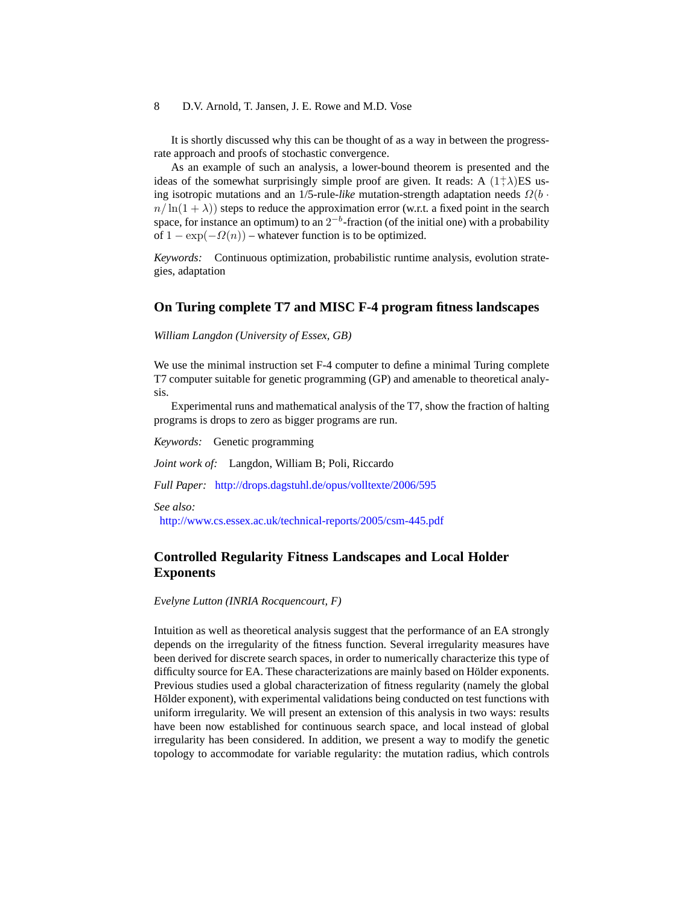It is shortly discussed why this can be thought of as a way in between the progressrate approach and proofs of stochastic convergence.

As an example of such an analysis, a lower-bound theorem is presented and the ideas of the somewhat surprisingly simple proof are given. It reads: A  $(1^+ \lambda)ES$  using isotropic mutations and an 1/5-rule-*like* mutation-strength adaptation needs Ω(b ·  $n/\ln(1+\lambda)$ ) steps to reduce the approximation error (w.r.t. a fixed point in the search space, for instance an optimum) to an  $2^{-b}$ -fraction (of the initial one) with a probability of  $1 - \exp(-\Omega(n))$  – whatever function is to be optimized.

*Keywords:* Continuous optimization, probabilistic runtime analysis, evolution strategies, adaptation

### **On Turing complete T7 and MISC F-4 program fitness landscapes**

*William Langdon (University of Essex, GB)*

We use the minimal instruction set F-4 computer to define a minimal Turing complete T7 computer suitable for genetic programming (GP) and amenable to theoretical analysis.

Experimental runs and mathematical analysis of the T7, show the fraction of halting programs is drops to zero as bigger programs are run.

*Keywords:* Genetic programming

*Joint work of:* Langdon, William B; Poli, Riccardo

*Full Paper:* <http://drops.dagstuhl.de/opus/volltexte/2006/595>

*See also:*

<http://www.cs.essex.ac.uk/technical-reports/2005/csm-445.pdf>

## **Controlled Regularity Fitness Landscapes and Local Holder Exponents**

*Evelyne Lutton (INRIA Rocquencourt, F)*

Intuition as well as theoretical analysis suggest that the performance of an EA strongly depends on the irregularity of the fitness function. Several irregularity measures have been derived for discrete search spaces, in order to numerically characterize this type of difficulty source for EA. These characterizations are mainly based on Hölder exponents. Previous studies used a global characterization of fitness regularity (namely the global Hölder exponent), with experimental validations being conducted on test functions with uniform irregularity. We will present an extension of this analysis in two ways: results have been now established for continuous search space, and local instead of global irregularity has been considered. In addition, we present a way to modify the genetic topology to accommodate for variable regularity: the mutation radius, which controls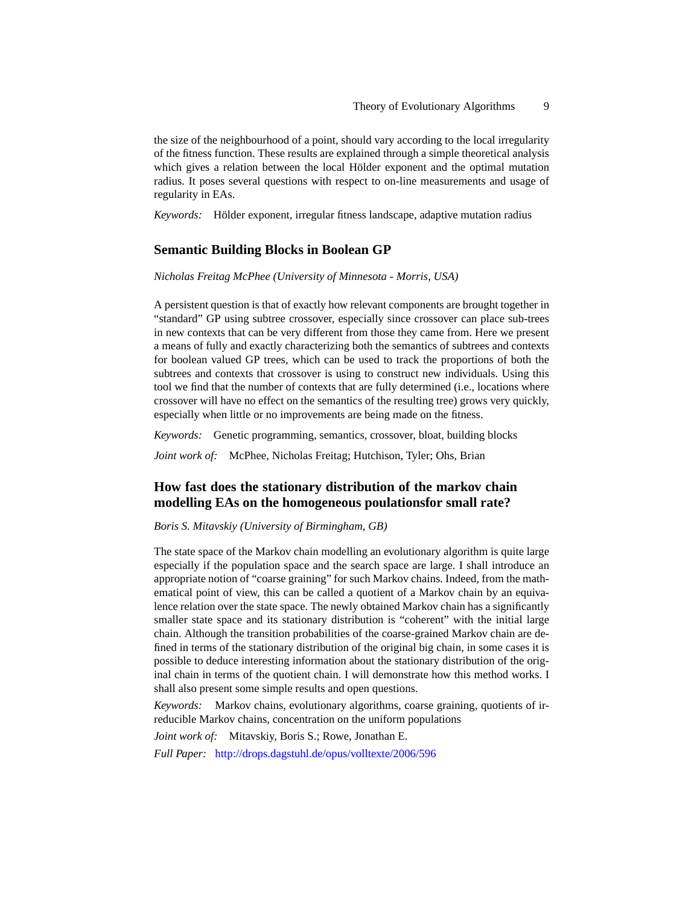the size of the neighbourhood of a point, should vary according to the local irregularity of the fitness function. These results are explained through a simple theoretical analysis which gives a relation between the local Hölder exponent and the optimal mutation radius. It poses several questions with respect to on-line measurements and usage of regularity in EAs.

*Keywords:* Hölder exponent, irregular fitness landscape, adaptive mutation radius

### **Semantic Building Blocks in Boolean GP**

#### *Nicholas Freitag McPhee (University of Minnesota - Morris, USA)*

A persistent question is that of exactly how relevant components are brought together in "standard" GP using subtree crossover, especially since crossover can place sub-trees in new contexts that can be very different from those they came from. Here we present a means of fully and exactly characterizing both the semantics of subtrees and contexts for boolean valued GP trees, which can be used to track the proportions of both the subtrees and contexts that crossover is using to construct new individuals. Using this tool we find that the number of contexts that are fully determined (i.e., locations where crossover will have no effect on the semantics of the resulting tree) grows very quickly, especially when little or no improvements are being made on the fitness.

*Keywords:* Genetic programming, semantics, crossover, bloat, building blocks

*Joint work of:* McPhee, Nicholas Freitag; Hutchison, Tyler; Ohs, Brian

## **How fast does the stationary distribution of the markov chain modelling EAs on the homogeneous poulationsfor small rate?**

#### *Boris S. Mitavskiy (University of Birmingham, GB)*

The state space of the Markov chain modelling an evolutionary algorithm is quite large especially if the population space and the search space are large. I shall introduce an appropriate notion of "coarse graining" for such Markov chains. Indeed, from the mathematical point of view, this can be called a quotient of a Markov chain by an equivalence relation over the state space. The newly obtained Markov chain has a significantly smaller state space and its stationary distribution is "coherent" with the initial large chain. Although the transition probabilities of the coarse-grained Markov chain are defined in terms of the stationary distribution of the original big chain, in some cases it is possible to deduce interesting information about the stationary distribution of the original chain in terms of the quotient chain. I will demonstrate how this method works. I shall also present some simple results and open questions.

*Keywords:* Markov chains, evolutionary algorithms, coarse graining, quotients of irreducible Markov chains, concentration on the uniform populations

*Joint work of:* Mitavskiy, Boris S.; Rowe, Jonathan E. *Full Paper:* <http://drops.dagstuhl.de/opus/volltexte/2006/596>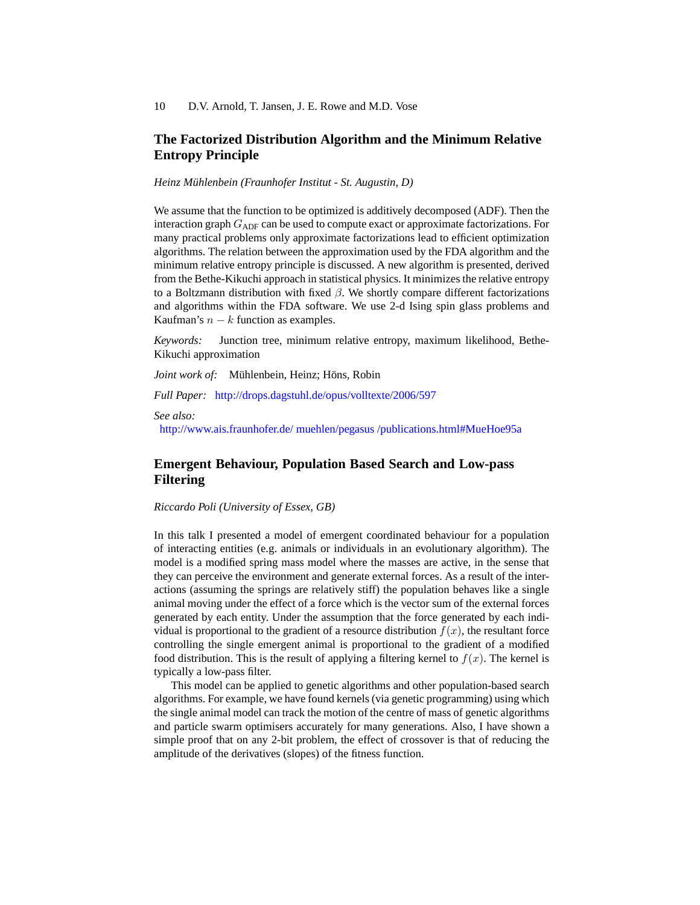## **The Factorized Distribution Algorithm and the Minimum Relative Entropy Principle**

*Heinz Mühlenbein (Fraunhofer Institut - St. Augustin, D)*

We assume that the function to be optimized is additively decomposed (ADF). Then the interaction graph  $G_{ADE}$  can be used to compute exact or approximate factorizations. For many practical problems only approximate factorizations lead to efficient optimization algorithms. The relation between the approximation used by the FDA algorithm and the minimum relative entropy principle is discussed. A new algorithm is presented, derived from the Bethe-Kikuchi approach in statistical physics. It minimizes the relative entropy to a Boltzmann distribution with fixed  $\beta$ . We shortly compare different factorizations and algorithms within the FDA software. We use 2-d Ising spin glass problems and Kaufman's  $n - k$  function as examples.

*Keywords:* Junction tree, minimum relative entropy, maximum likelihood, Bethe-Kikuchi approximation

*Joint work of:* Mühlenbein, Heinz; Höns, Robin

*Full Paper:* <http://drops.dagstuhl.de/opus/volltexte/2006/597>

*See also:*

[http://www.ais.fraunhofer.de/ muehlen/pegasus /publications.html#MueHoe95a](http://www.ais.fraunhofer.de/~muehlen/pegasus/publications.html#MueHoe95a)

## **Emergent Behaviour, Population Based Search and Low-pass Filtering**

*Riccardo Poli (University of Essex, GB)*

In this talk I presented a model of emergent coordinated behaviour for a population of interacting entities (e.g. animals or individuals in an evolutionary algorithm). The model is a modified spring mass model where the masses are active, in the sense that they can perceive the environment and generate external forces. As a result of the interactions (assuming the springs are relatively stiff) the population behaves like a single animal moving under the effect of a force which is the vector sum of the external forces generated by each entity. Under the assumption that the force generated by each individual is proportional to the gradient of a resource distribution  $f(x)$ , the resultant force controlling the single emergent animal is proportional to the gradient of a modified food distribution. This is the result of applying a filtering kernel to  $f(x)$ . The kernel is typically a low-pass filter.

This model can be applied to genetic algorithms and other population-based search algorithms. For example, we have found kernels (via genetic programming) using which the single animal model can track the motion of the centre of mass of genetic algorithms and particle swarm optimisers accurately for many generations. Also, I have shown a simple proof that on any 2-bit problem, the effect of crossover is that of reducing the amplitude of the derivatives (slopes) of the fitness function.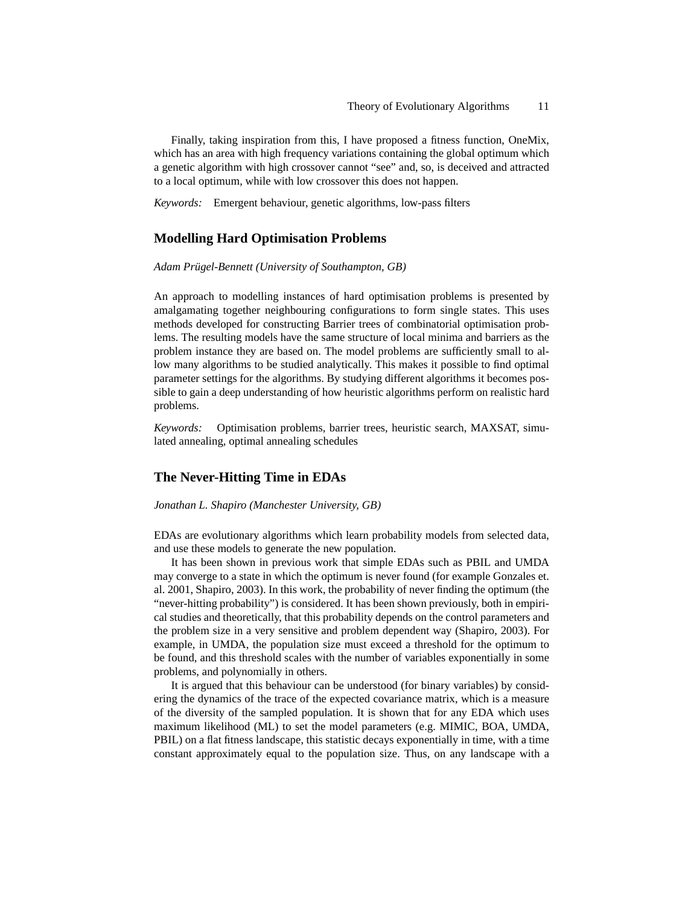Finally, taking inspiration from this, I have proposed a fitness function, OneMix, which has an area with high frequency variations containing the global optimum which a genetic algorithm with high crossover cannot "see" and, so, is deceived and attracted to a local optimum, while with low crossover this does not happen.

*Keywords:* Emergent behaviour, genetic algorithms, low-pass filters

### **Modelling Hard Optimisation Problems**

#### *Adam Prügel-Bennett (University of Southampton, GB)*

An approach to modelling instances of hard optimisation problems is presented by amalgamating together neighbouring configurations to form single states. This uses methods developed for constructing Barrier trees of combinatorial optimisation problems. The resulting models have the same structure of local minima and barriers as the problem instance they are based on. The model problems are sufficiently small to allow many algorithms to be studied analytically. This makes it possible to find optimal parameter settings for the algorithms. By studying different algorithms it becomes possible to gain a deep understanding of how heuristic algorithms perform on realistic hard problems.

*Keywords:* Optimisation problems, barrier trees, heuristic search, MAXSAT, simulated annealing, optimal annealing schedules

## **The Never-Hitting Time in EDAs**

#### *Jonathan L. Shapiro (Manchester University, GB)*

EDAs are evolutionary algorithms which learn probability models from selected data, and use these models to generate the new population.

It has been shown in previous work that simple EDAs such as PBIL and UMDA may converge to a state in which the optimum is never found (for example Gonzales et. al. 2001, Shapiro, 2003). In this work, the probability of never finding the optimum (the "never-hitting probability") is considered. It has been shown previously, both in empirical studies and theoretically, that this probability depends on the control parameters and the problem size in a very sensitive and problem dependent way (Shapiro, 2003). For example, in UMDA, the population size must exceed a threshold for the optimum to be found, and this threshold scales with the number of variables exponentially in some problems, and polynomially in others.

It is argued that this behaviour can be understood (for binary variables) by considering the dynamics of the trace of the expected covariance matrix, which is a measure of the diversity of the sampled population. It is shown that for any EDA which uses maximum likelihood (ML) to set the model parameters (e.g. MIMIC, BOA, UMDA, PBIL) on a flat fitness landscape, this statistic decays exponentially in time, with a time constant approximately equal to the population size. Thus, on any landscape with a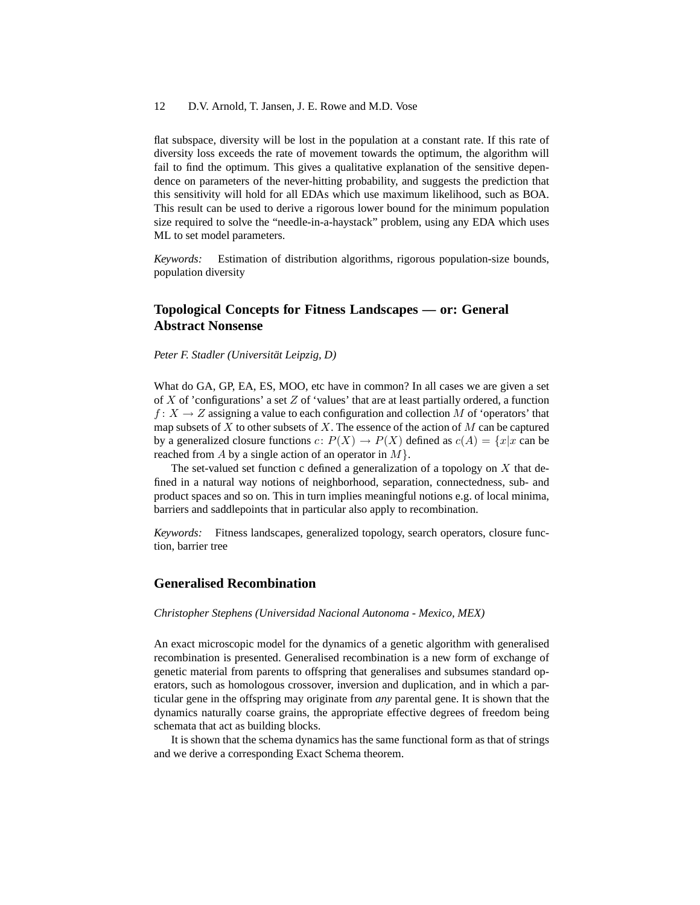flat subspace, diversity will be lost in the population at a constant rate. If this rate of diversity loss exceeds the rate of movement towards the optimum, the algorithm will fail to find the optimum. This gives a qualitative explanation of the sensitive dependence on parameters of the never-hitting probability, and suggests the prediction that this sensitivity will hold for all EDAs which use maximum likelihood, such as BOA. This result can be used to derive a rigorous lower bound for the minimum population size required to solve the "needle-in-a-haystack" problem, using any EDA which uses ML to set model parameters.

*Keywords:* Estimation of distribution algorithms, rigorous population-size bounds, population diversity

## **Topological Concepts for Fitness Landscapes — or: General Abstract Nonsense**

*Peter F. Stadler (Universität Leipzig, D)*

What do GA, GP, EA, ES, MOO, etc have in common? In all cases we are given a set of  $X$  of 'configurations' a set  $Z$  of 'values' that are at least partially ordered, a function  $f: X \to Z$  assigning a value to each configuration and collection M of 'operators' that map subsets of  $X$  to other subsets of  $X$ . The essence of the action of  $M$  can be captured by a generalized closure functions  $c: P(X) \to P(X)$  defined as  $c(A) = \{x | x \text{ can be }$ reached from A by a single action of an operator in  $M$ .

The set-valued set function c defined a generalization of a topology on  $X$  that defined in a natural way notions of neighborhood, separation, connectedness, sub- and product spaces and so on. This in turn implies meaningful notions e.g. of local minima, barriers and saddlepoints that in particular also apply to recombination.

*Keywords:* Fitness landscapes, generalized topology, search operators, closure function, barrier tree

### **Generalised Recombination**

#### *Christopher Stephens (Universidad Nacional Autonoma - Mexico, MEX)*

An exact microscopic model for the dynamics of a genetic algorithm with generalised recombination is presented. Generalised recombination is a new form of exchange of genetic material from parents to offspring that generalises and subsumes standard operators, such as homologous crossover, inversion and duplication, and in which a particular gene in the offspring may originate from *any* parental gene. It is shown that the dynamics naturally coarse grains, the appropriate effective degrees of freedom being schemata that act as building blocks.

It is shown that the schema dynamics has the same functional form as that of strings and we derive a corresponding Exact Schema theorem.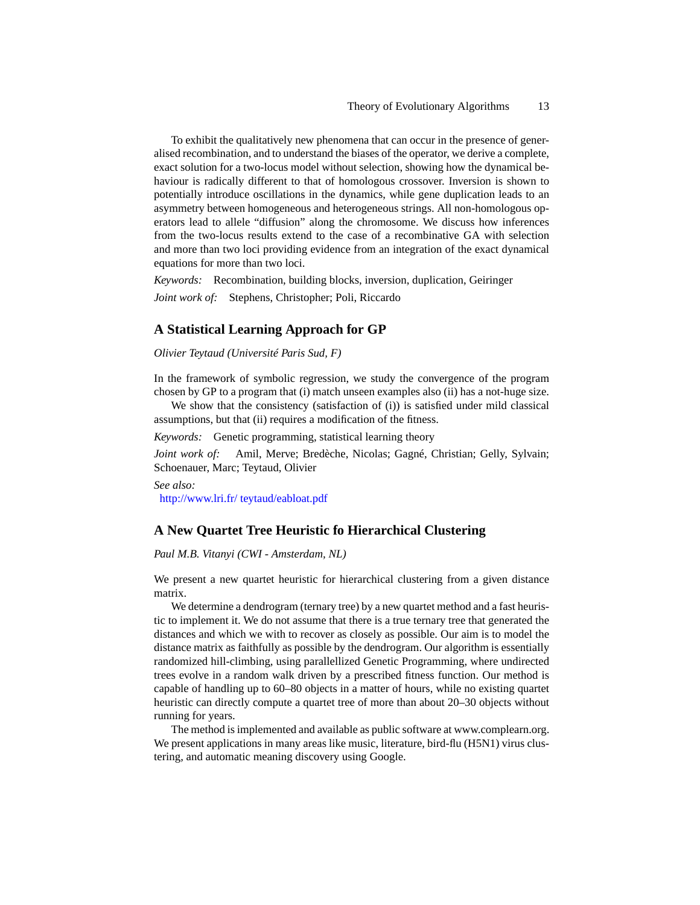To exhibit the qualitatively new phenomena that can occur in the presence of generalised recombination, and to understand the biases of the operator, we derive a complete, exact solution for a two-locus model without selection, showing how the dynamical behaviour is radically different to that of homologous crossover. Inversion is shown to potentially introduce oscillations in the dynamics, while gene duplication leads to an asymmetry between homogeneous and heterogeneous strings. All non-homologous operators lead to allele "diffusion" along the chromosome. We discuss how inferences from the two-locus results extend to the case of a recombinative GA with selection and more than two loci providing evidence from an integration of the exact dynamical equations for more than two loci.

*Keywords:* Recombination, building blocks, inversion, duplication, Geiringer *Joint work of:* Stephens, Christopher; Poli, Riccardo

### **A Statistical Learning Approach for GP**

*Olivier Teytaud (Université Paris Sud, F)*

In the framework of symbolic regression, we study the convergence of the program chosen by GP to a program that (i) match unseen examples also (ii) has a not-huge size.

We show that the consistency (satisfaction of (i)) is satisfied under mild classical assumptions, but that (ii) requires a modification of the fitness.

*Keywords:* Genetic programming, statistical learning theory

*Joint work of:* Amil, Merve; Bredèche, Nicolas; Gagné, Christian; Gelly, Sylvain; Schoenauer, Marc; Teytaud, Olivier

*See also:* [http://www.lri.fr/ teytaud/eabloat.pdf](http://www.lri.fr/~teytaud/eabloat.pdf)

### **A New Quartet Tree Heuristic fo Hierarchical Clustering**

### *Paul M.B. Vitanyi (CWI - Amsterdam, NL)*

We present a new quartet heuristic for hierarchical clustering from a given distance matrix.

We determine a dendrogram (ternary tree) by a new quartet method and a fast heuristic to implement it. We do not assume that there is a true ternary tree that generated the distances and which we with to recover as closely as possible. Our aim is to model the distance matrix as faithfully as possible by the dendrogram. Our algorithm is essentially randomized hill-climbing, using parallellized Genetic Programming, where undirected trees evolve in a random walk driven by a prescribed fitness function. Our method is capable of handling up to 60–80 objects in a matter of hours, while no existing quartet heuristic can directly compute a quartet tree of more than about 20–30 objects without running for years.

The method is implemented and available as public software at www.complearn.org. We present applications in many areas like music, literature, bird-flu (H5N1) virus clustering, and automatic meaning discovery using Google.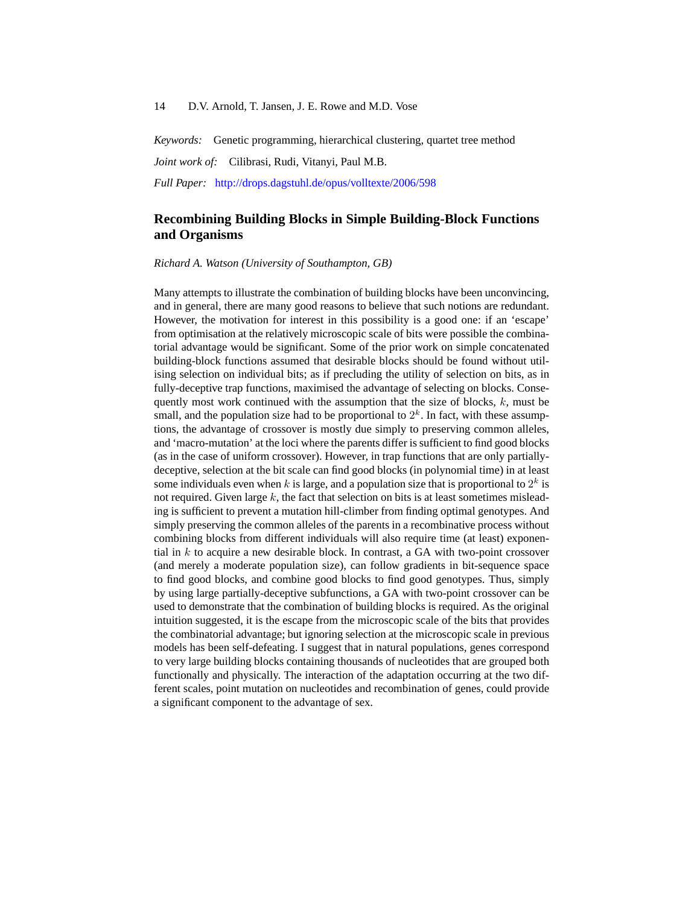*Keywords:* Genetic programming, hierarchical clustering, quartet tree method

*Joint work of:* Cilibrasi, Rudi, Vitanyi, Paul M.B.

*Full Paper:* <http://drops.dagstuhl.de/opus/volltexte/2006/598>

## **Recombining Building Blocks in Simple Building-Block Functions and Organisms**

*Richard A. Watson (University of Southampton, GB)*

Many attempts to illustrate the combination of building blocks have been unconvincing, and in general, there are many good reasons to believe that such notions are redundant. However, the motivation for interest in this possibility is a good one: if an 'escape' from optimisation at the relatively microscopic scale of bits were possible the combinatorial advantage would be significant. Some of the prior work on simple concatenated building-block functions assumed that desirable blocks should be found without utilising selection on individual bits; as if precluding the utility of selection on bits, as in fully-deceptive trap functions, maximised the advantage of selecting on blocks. Consequently most work continued with the assumption that the size of blocks,  $k$ , must be small, and the population size had to be proportional to  $2<sup>k</sup>$ . In fact, with these assumptions, the advantage of crossover is mostly due simply to preserving common alleles, and 'macro-mutation' at the loci where the parents differ is sufficient to find good blocks (as in the case of uniform crossover). However, in trap functions that are only partiallydeceptive, selection at the bit scale can find good blocks (in polynomial time) in at least some individuals even when k is large, and a population size that is proportional to  $2^k$  is not required. Given large  $k$ , the fact that selection on bits is at least sometimes misleading is sufficient to prevent a mutation hill-climber from finding optimal genotypes. And simply preserving the common alleles of the parents in a recombinative process without combining blocks from different individuals will also require time (at least) exponential in  $k$  to acquire a new desirable block. In contrast, a GA with two-point crossover (and merely a moderate population size), can follow gradients in bit-sequence space to find good blocks, and combine good blocks to find good genotypes. Thus, simply by using large partially-deceptive subfunctions, a GA with two-point crossover can be used to demonstrate that the combination of building blocks is required. As the original intuition suggested, it is the escape from the microscopic scale of the bits that provides the combinatorial advantage; but ignoring selection at the microscopic scale in previous models has been self-defeating. I suggest that in natural populations, genes correspond to very large building blocks containing thousands of nucleotides that are grouped both functionally and physically. The interaction of the adaptation occurring at the two different scales, point mutation on nucleotides and recombination of genes, could provide a significant component to the advantage of sex.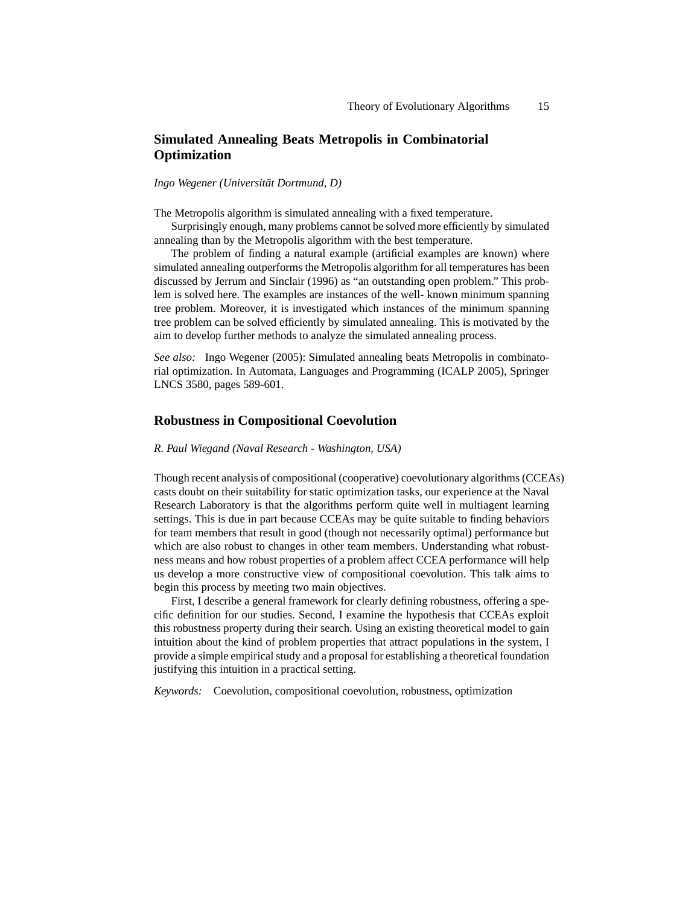## **Simulated Annealing Beats Metropolis in Combinatorial Optimization**

*Ingo Wegener (Universität Dortmund, D)*

The Metropolis algorithm is simulated annealing with a fixed temperature.

Surprisingly enough, many problems cannot be solved more efficiently by simulated annealing than by the Metropolis algorithm with the best temperature.

The problem of finding a natural example (artificial examples are known) where simulated annealing outperforms the Metropolis algorithm for all temperatures has been discussed by Jerrum and Sinclair (1996) as "an outstanding open problem." This problem is solved here. The examples are instances of the well- known minimum spanning tree problem. Moreover, it is investigated which instances of the minimum spanning tree problem can be solved efficiently by simulated annealing. This is motivated by the aim to develop further methods to analyze the simulated annealing process.

*See also:* Ingo Wegener (2005): Simulated annealing beats Metropolis in combinatorial optimization. In Automata, Languages and Programming (ICALP 2005), Springer LNCS 3580, pages 589-601.

### **Robustness in Compositional Coevolution**

#### *R. Paul Wiegand (Naval Research - Washington, USA)*

Though recent analysis of compositional (cooperative) coevolutionary algorithms (CCEAs) casts doubt on their suitability for static optimization tasks, our experience at the Naval Research Laboratory is that the algorithms perform quite well in multiagent learning settings. This is due in part because CCEAs may be quite suitable to finding behaviors for team members that result in good (though not necessarily optimal) performance but which are also robust to changes in other team members. Understanding what robustness means and how robust properties of a problem affect CCEA performance will help us develop a more constructive view of compositional coevolution. This talk aims to begin this process by meeting two main objectives.

First, I describe a general framework for clearly defining robustness, offering a specific definition for our studies. Second, I examine the hypothesis that CCEAs exploit this robustness property during their search. Using an existing theoretical model to gain intuition about the kind of problem properties that attract populations in the system, I provide a simple empirical study and a proposal for establishing a theoretical foundation justifying this intuition in a practical setting.

*Keywords:* Coevolution, compositional coevolution, robustness, optimization